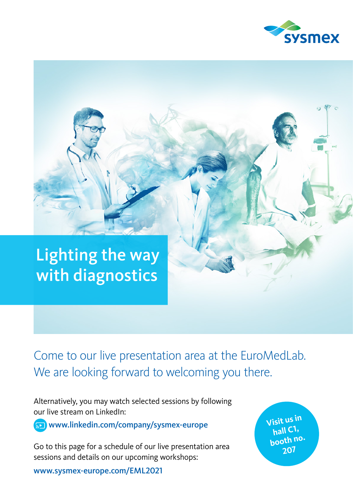



Come to our live presentation area at the EuroMedLab. We are looking forward to welcoming you there.

Alternatively, you may watch selected sessions by following our live stream on LinkedIn:

www.linkedin.com/company/sysmex-europe

Go to this page for a schedule of our live presentation area sessions and details on our upcoming workshops:

www.sysmex-europe.com/EML2021

**Visit us in hall C1, booth no. 207**